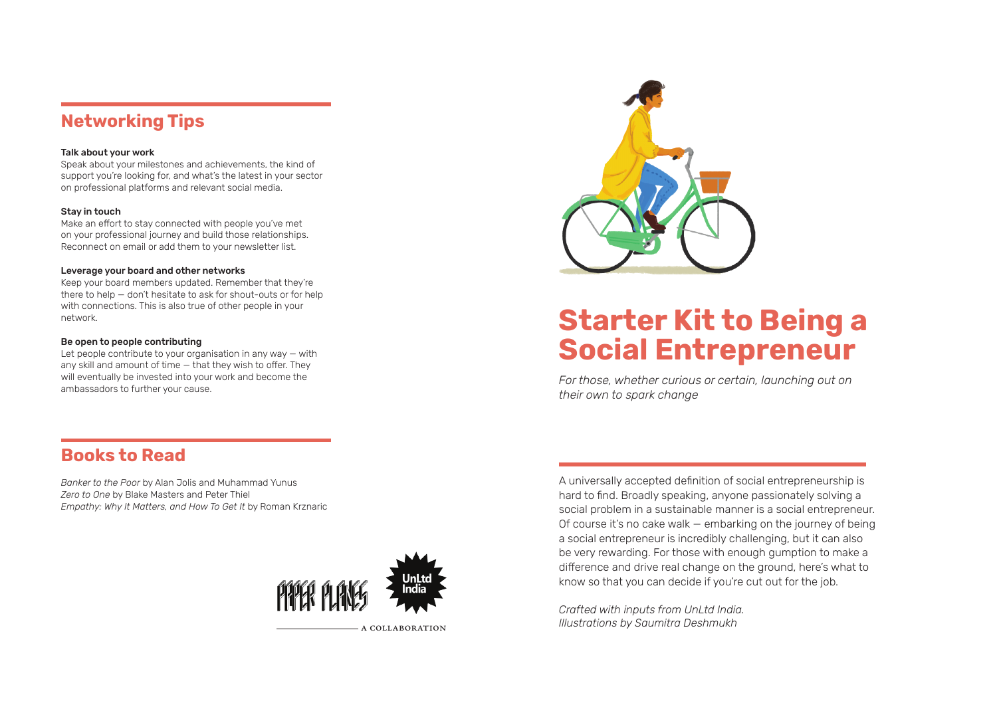## Networking Tips

#### Talk about your work

Speak about your milestones and achievements, the kind of support you're looking for, and what's the latest in your sector on professional platforms and relevant social media.

#### Stay in touch

Make an effort to stay connected with people you've met on your professional journey and build those relationships. Reconnect on email or add them to your newsletter list.

#### Leverage your board and other networks

Keep your board members updated. Remember that they're there to help — don't hesitate to ask for shout-outs or for help with connections. This is also true of other people in your network.

#### Be open to people contributing

Let people contribute to your organisation in any way — with any skill and amount of time — that they wish to offer. They will eventually be invested into your work and become the ambassadors to further your cause.



# Starter Kit to Being a Social Entrepreneur

*For those, whether curious or certain, launching out on their own to spark change*

## Books to Read

*Banker to the Poor* by Alan Jolis and Muhammad Yunus *Zero to One* by Blake Masters and Peter Thiel *Empathy: Why It Matters, and How To Get It* by Roman Krznaric



a collaboration

A universally accepted definition of social entrepreneurship is hard to find. Broadly speaking, anyone passionately solving a social problem in a sustainable manner is a social entrepreneur. Of course it's no cake walk — embarking on the journey of being a social entrepreneur is incredibly challenging, but it can also be very rewarding. For those with enough gumption to make a difference and drive real change on the ground, here's what to know so that you can decide if you're cut out for the job.

*Crafted with inputs from UnLtd India. Illustrations by Saumitra Deshmukh*